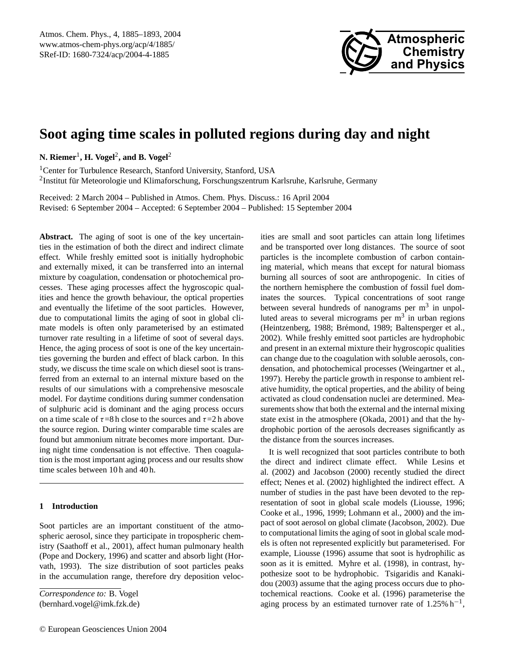

# **Soot aging time scales in polluted regions during day and night**

 $\mathbf{N. Riemer}^{1}, \mathbf{H. Vogel}^{2}, \text{and } \mathbf{B. Vogel}^{2}$ 

<sup>1</sup> Center for Turbulence Research, Stanford University, Stanford, USA  $^{2}$ Institut für Meteorologie und Klimaforschung, Forschungszentrum Karlsruhe, Karlsruhe, Germany

Received: 2 March 2004 – Published in Atmos. Chem. Phys. Discuss.: 16 April 2004 Revised: 6 September 2004 – Accepted: 6 September 2004 – Published: 15 September 2004

**Abstract.** The aging of soot is one of the key uncertainties in the estimation of both the direct and indirect climate effect. While freshly emitted soot is initially hydrophobic and externally mixed, it can be transferred into an internal mixture by coagulation, condensation or photochemical processes. These aging processes affect the hygroscopic qualities and hence the growth behaviour, the optical properties and eventually the lifetime of the soot particles. However, due to computational limits the aging of soot in global climate models is often only parameterised by an estimated turnover rate resulting in a lifetime of soot of several days. Hence, the aging process of soot is one of the key uncertainties governing the burden and effect of black carbon. In this study, we discuss the time scale on which diesel soot is transferred from an external to an internal mixture based on the results of our simulations with a comprehensive mesoscale model. For daytime conditions during summer condensation of sulphuric acid is dominant and the aging process occurs on a time scale of  $\tau = 8$  h close to the sources and  $\tau = 2$  h above the source region. During winter comparable time scales are found but ammonium nitrate becomes more important. During night time condensation is not effective. Then coagulation is the most important aging process and our results show time scales between 10 h and 40 h.

## **1 Introduction**

Soot particles are an important constituent of the atmospheric aerosol, since they participate in tropospheric chemistry (Saathoff et al., 2001), affect human pulmonary health (Pope and Dockery, 1996) and scatter and absorb light (Horvath, 1993). The size distribution of soot particles peaks in the accumulation range, therefore dry deposition veloc-

*Correspondence to:* B. Vogel

(bernhard.vogel@imk.fzk.de)

ities are small and soot particles can attain long lifetimes and be transported over long distances. The source of soot particles is the incomplete combustion of carbon containing material, which means that except for natural biomass burning all sources of soot are anthropogenic. In cities of the northern hemisphere the combustion of fossil fuel dominates the sources. Typical concentrations of soot range between several hundreds of nanograms per  $m<sup>3</sup>$  in unpolluted areas to several micrograms per  $m<sup>3</sup>$  in urban regions (Heintzenberg, 1988; Brémond, 1989; Baltensperger et al., 2002). While freshly emitted soot particles are hydrophobic and present in an external mixture their hygroscopic qualities can change due to the coagulation with soluble aerosols, condensation, and photochemical processes (Weingartner et al., 1997). Hereby the particle growth in response to ambient relative humidity, the optical properties, and the ability of being activated as cloud condensation nuclei are determined. Measurements show that both the external and the internal mixing state exist in the atmosphere (Okada, 2001) and that the hydrophobic portion of the aerosols decreases significantly as the distance from the sources increases.

It is well recognized that soot particles contribute to both the direct and indirect climate effect. While Lesins et al. (2002) and Jacobson (2000) recently studied the direct effect; Nenes et al. (2002) highlighted the indirect effect. A number of studies in the past have been devoted to the representation of soot in global scale models (Liousse, 1996; Cooke et al., 1996, 1999; Lohmann et al., 2000) and the impact of soot aerosol on global climate (Jacobson, 2002). Due to computational limits the aging of soot in global scale models is often not represented explicitly but parameterised. For example, Liousse (1996) assume that soot is hydrophilic as soon as it is emitted. Myhre et al. (1998), in contrast, hypothesize soot to be hydrophobic. Tsigaridis and Kanakidou (2003) assume that the aging process occurs due to photochemical reactions. Cooke et al. (1996) parameterise the aging process by an estimated turnover rate of 1.25%  $h^{-1}$ ,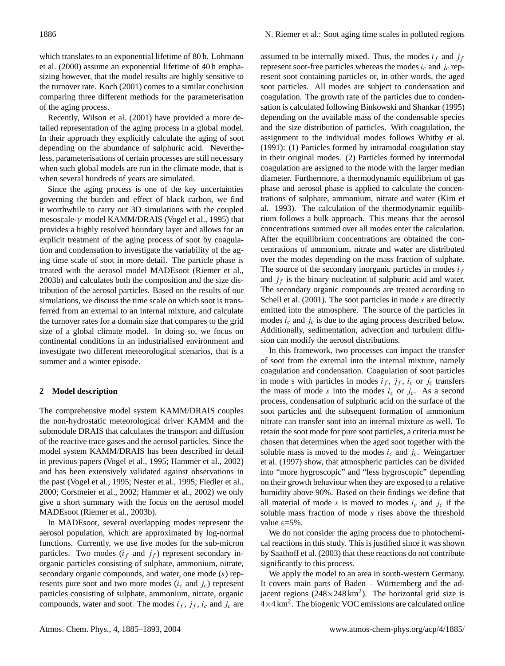which translates to an exponential lifetime of 80 h. Lohmann et al. (2000) assume an exponential lifetime of 40 h emphasizing however, that the model results are highly sensitive to the turnover rate. Koch (2001) comes to a similar conclusion comparing three different methods for the parameterisation of the aging process.

Recently, Wilson et al. (2001) have provided a more detailed representation of the aging process in a global model. In their approach they explicitly calculate the aging of soot depending on the abundance of sulphuric acid. Nevertheless, parameterisations of certain processes are still necessary when such global models are run in the climate mode, that is when several hundreds of years are simulated.

Since the aging process is one of the key uncertainties governing the burden and effect of black carbon, we find it worthwhile to carry out 3D simulations with the coupled mesoscale- $\gamma$  model KAMM/DRAIS (Vogel et al., 1995) that provides a highly resolved boundary layer and allows for an explicit treatment of the aging process of soot by coagulation and condensation to investigate the variability of the aging time scale of soot in more detail. The particle phase is treated with the aerosol model MADEsoot (Riemer et al., 2003b) and calculates both the composition and the size distribution of the aerosol particles. Based on the results of our simulations, we discuss the time scale on which soot is transferred from an external to an internal mixture, and calculate the turnover rates for a domain size that compares to the grid size of a global climate model. In doing so, we focus on continental conditions in an industrialised environment and investigate two different meteorological scenarios, that is a summer and a winter episode.

#### **2 Model description**

The comprehensive model system KAMM/DRAIS couples the non-hydrostatic meteorological driver KAMM and the submodule DRAIS that calculates the transport and diffusion of the reactive trace gases and the aerosol particles. Since the model system KAMM/DRAIS has been described in detail in previous papers (Vogel et al., 1995; Hammer et al., 2002) and has been extensively validated against observations in the past (Vogel et al., 1995; Nester et al., 1995; Fiedler et al., 2000; Corsmeier et al., 2002; Hammer et al., 2002) we only give a short summary with the focus on the aerosol model MADEsoot (Riemer et al., 2003b).

In MADEsoot, several overlapping modes represent the aerosol population, which are approximated by log-normal functions. Currently, we use five modes for the sub-micron particles. Two modes  $(i_f$  and  $j_f$ ) represent secondary inorganic particles consisting of sulphate, ammonium, nitrate, secondary organic compounds, and water, one mode (s) represents pure soot and two more modes  $(i_c \text{ and } j_c)$  represent particles consisting of sulphate, ammonium, nitrate, organic compounds, water and soot. The modes  $i_f$ ,  $j_f$ ,  $i_c$  and  $j_c$  are

assumed to be internally mixed. Thus, the modes  $i_f$  and  $j_f$ represent soot-free particles whereas the modes  $i_c$  and  $j_c$  represent soot containing particles or, in other words, the aged soot particles. All modes are subject to condensation and coagulation. The growth rate of the particles due to condensation is calculated following Binkowski and Shankar (1995) depending on the available mass of the condensable species and the size distribution of particles. With coagulation, the assignment to the individual modes follows Whitby et al. (1991): (1) Particles formed by intramodal coagulation stay in their original modes. (2) Particles formed by intermodal coagulation are assigned to the mode with the larger median diameter. Furthermore, a thermodynamic equilibrium of gas phase and aerosol phase is applied to calculate the concentrations of sulphate, ammonium, nitrate and water (Kim et al. 1993). The calculation of the thermodynamic equilibrium follows a bulk approach. This means that the aerosol concentrations summed over all modes enter the calculation. After the equilibrium concentrations are obtained the concentrations of ammonium, nitrate and water are distributed over the modes depending on the mass fraction of sulphate. The source of the secondary inorganic particles in modes  $i_f$ and  $j_f$  is the binary nucleation of sulphuric acid and water. The secondary organic compounds are treated according to Schell et al.  $(2001)$ . The soot particles in mode s are directly emitted into the atmosphere. The source of the particles in modes  $i_c$  and  $j_c$  is due to the aging process described below. Additionally, sedimentation, advection and turbulent diffusion can modify the aerosol distributions.

In this framework, two processes can impact the transfer of soot from the external into the internal mixture, namely coagulation and condensation. Coagulation of soot particles in mode s with particles in modes  $i_f$ ,  $j_f$ ,  $i_c$  or  $j_c$  transfers the mass of mode s into the modes  $i_c$  or  $j_c$ . As a second process, condensation of sulphuric acid on the surface of the soot particles and the subsequent formation of ammonium nitrate can transfer soot into an internal mixture as well. To retain the soot mode for pure soot particles, a criteria must be chosen that determines when the aged soot together with the soluble mass is moved to the modes  $i_c$  and  $j_c$ . Weingartner et al. (1997) show, that atmospheric particles can be divided into "more hygroscopic" and "less hygroscopic" depending on their growth behaviour when they are exposed to a relative humidity above 90%. Based on their findings we define that all material of mode s is moved to modes  $i_c$  and  $j_c$  if the soluble mass fraction of mode s rises above the threshold value  $\varepsilon = 5\%$ .

We do not consider the aging process due to photochemical reactions in this study. This is justified since it was shown by Saathoff et al. (2003) that these reactions do not contribute significantly to this process.

We apply the model to an area in south-western Germany. It covers main parts of Baden – Württemberg and the adjacent regions  $(248 \times 248 \text{ km}^2)$ . The horizontal grid size is  $4 \times 4 \text{ km}^2$ . The biogenic VOC emissions are calculated online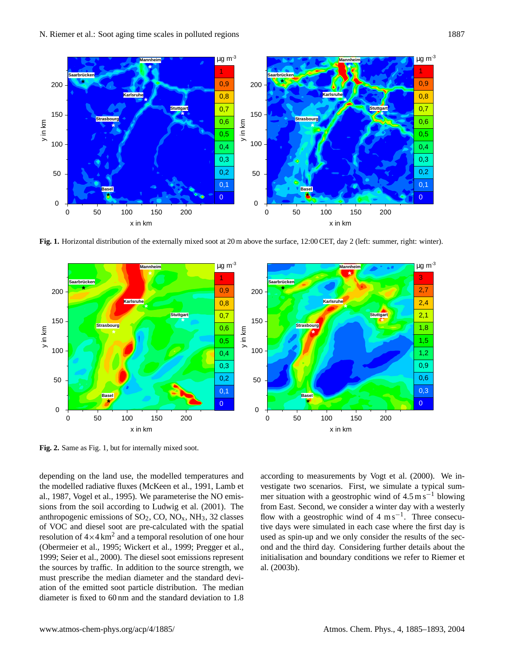

**Fig. 1.** Horizontal distribution of the externally mixed soot at 20 m above the surface, 12:00 CET, day 2 (left: summer, right: winter).



**Fig. 2.** Same as Fig. 1, but for internally mixed soot.

depending on the land use, the modelled temperatures and the modelled radiative fluxes (McKeen et al., 1991, Lamb et al., 1987, Vogel et al., 1995). We parameterise the NO emissions from the soil according to Ludwig et al. (2001). The anthropogenic emissions of  $SO_2$ ,  $CO$ ,  $NO_x$ ,  $NH_3$ , 32 classes of VOC and diesel soot are pre-calculated with the spatial resolution of  $4\times4$  km<sup>2</sup> and a temporal resolution of one hour (Obermeier et al., 1995; Wickert et al., 1999; Pregger et al., 1999; Seier et al., 2000). The diesel soot emissions represent the sources by traffic. In addition to the source strength, we must prescribe the median diameter and the standard deviation of the emitted soot particle distribution. The median diameter is fixed to 60 nm and the standard deviation to 1.8 according to measurements by Vogt et al. (2000). We investigate two scenarios. First, we simulate a typical summer situation with a geostrophic wind of  $4.5 \text{ m s}^{-1}$  blowing from East. Second, we consider a winter day with a westerly flow with a geostrophic wind of 4 m s<sup>-1</sup>. Three consecutive days were simulated in each case where the first day is used as spin-up and we only consider the results of the second and the third day. Considering further details about the initialisation and boundary conditions we refer to Riemer et al. (2003b).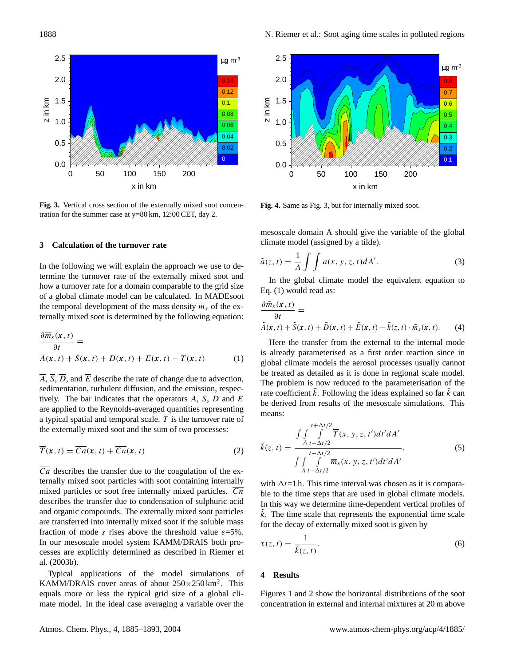

**Fig. 3.** Vertical cross section of the externally mixed soot concentration for the summer case at y=80 km, 12:00 CET, day 2.

#### **3 Calculation of the turnover rate**

In the following we will explain the approach we use to determine the turnover rate of the externally mixed soot and how a turnover rate for a domain comparable to the grid size of a global climate model can be calculated. In MADEsoot the temporal development of the mass density  $\overline{m}_s$  of the externally mixed soot is determined by the following equation:

$$
\frac{\partial \overline{m}_s(\mathbf{x},t)}{\partial t} = \n\overline{A}(\mathbf{x},t) + \overline{S}(\mathbf{x},t) + \overline{D}(\mathbf{x},t) + \overline{E}(\mathbf{x},t) - \overline{T}(\mathbf{x},t)
$$
\n(1)

 $\overline{A}$ ,  $\overline{S}$ ,  $\overline{D}$ , and  $\overline{E}$  describe the rate of change due to advection, sedimentation, turbulent diffusion, and the emission, respectively. The bar indicates that the operators  $A$ ,  $S$ ,  $D$  and  $E$ are applied to the Reynolds-averaged quantities representing a typical spatial and temporal scale.  $\overline{T}$  is the turnover rate of the externally mixed soot and the sum of two processes:

$$
\overline{T}(\mathbf{x},t) = \overline{Ca}(\mathbf{x},t) + \overline{Cn}(\mathbf{x},t)
$$
\n(2)

 $\overline{Ca}$  describes the transfer due to the coagulation of the externally mixed soot particles with soot containing internally mixed particles or soot free internally mixed particles.  $\overline{Cn}$ describes the transfer due to condensation of sulphuric acid and organic compounds. The externally mixed soot particles are transferred into internally mixed soot if the soluble mass fraction of mode s rises above the threshold value  $\varepsilon = 5\%$ . In our mesoscale model system KAMM/DRAIS both processes are explicitly determined as described in Riemer et al. (2003b).

Typical applications of the model simulations of KAMM/DRAIS cover areas of about  $250 \times 250$  km<sup>2</sup>. This equals more or less the typical grid size of a global climate model. In the ideal case averaging a variable over the



**Fig. 4.** Same as Fig. 3, but for internally mixed soot.

mesoscale domain A should give the variable of the global climate model (assigned by a tilde).

$$
\tilde{a}(z,t) = \frac{1}{A} \int \int \overline{a}(x, y, z, t) dA'. \tag{3}
$$

In the global climate model the equivalent equation to Eq. (1) would read as:

$$
\frac{\partial \tilde{m}_s(\mathbf{x}, t)}{\partial t} =
$$
\n
$$
\tilde{A}(\mathbf{x}, t) + \tilde{S}(\mathbf{x}, t) + \tilde{D}(\mathbf{x}, t) + \tilde{E}(\mathbf{x}, t) - \tilde{k}(z, t) \cdot \tilde{m}_s(\mathbf{x}, t). \tag{4}
$$

Here the transfer from the external to the internal mode is already parameterised as a first order reaction since in global climate models the aerosol processes usually cannot be treated as detailed as it is done in regional scale model. The problem is now reduced to the parameterisation of the rate coefficient  $\tilde{k}$ . Following the ideas explained so far  $\tilde{k}$  can be derived from results of the mesoscale simulations. This means:

$$
\tilde{k}(z,t) = \frac{\int \int \int \int \int \overline{T}(x, y, z, t')dt'dA'}{\int \int \int \int \overline{m}_s(x, y, z, t')dt'dA'}.
$$
\n(5)

with  $\Delta t=1$  h. This time interval was chosen as it is comparable to the time steps that are used in global climate models. In this way we determine time-dependent vertical profiles of  $k$ . The time scale that represents the exponential time scale for the decay of externally mixed soot is given by

$$
\tau(z,t) = \frac{1}{\tilde{k}(z,t)}.\tag{6}
$$

## **4 Results**

Figures 1 and 2 show the horizontal distributions of the soot concentration in external and internal mixtures at 20 m above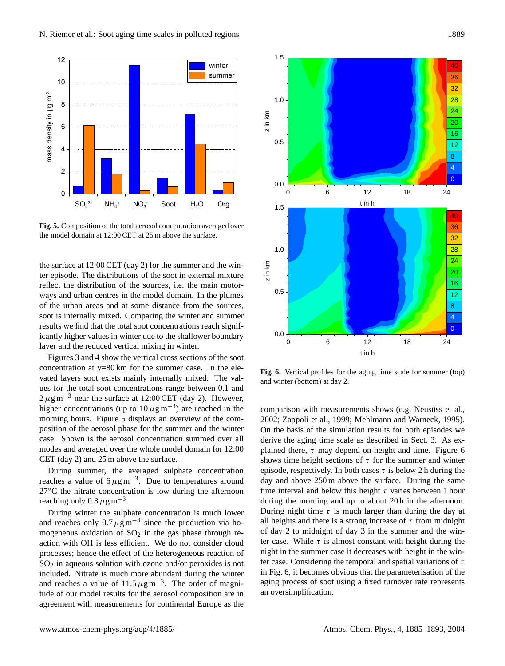

**Fig. 5.** Composition of the total aerosol concentration averaged over the model domain at 12:00 CET at 25 m above the surface.

the surface at 12:00 CET (day 2) for the summer and the winter episode. The distributions of the soot in external mixture reflect the distribution of the sources, i.e. the main motorways and urban centres in the model domain. In the plumes of the urban areas and at some distance from the sources, soot is internally mixed. Comparing the winter and summer results we find that the total soot concentrations reach significantly higher values in winter due to the shallower boundary layer and the reduced vertical mixing in winter.

Figures 3 and 4 show the vertical cross sections of the soot concentration at  $y=80 \text{ km}$  for the summer case. In the elevated layers soot exists mainly internally mixed. The values for the total soot concentrations range between 0.1 and  $2 \mu$ g m<sup>-3</sup> near the surface at 12:00 CET (day 2). However, higher concentrations (up to  $10 \mu g m^{-3}$ ) are reached in the morning hours. Figure 5 displays an overview of the composition of the aerosol phase for the summer and the winter case. Shown is the aerosol concentration summed over all modes and averaged over the whole model domain for 12:00 CET (day 2) and 25 m above the surface.

During summer, the averaged sulphate concentration reaches a value of  $6 \mu g m^{-3}$ . Due to temperatures around  $27^{\circ}$ C the nitrate concentration is low during the afternoon reaching only 0.3  $\mu$ g m<sup>-3</sup>.

During winter the sulphate concentration is much lower and reaches only  $0.7 \mu g m^{-3}$  since the production via homogeneous oxidation of  $SO<sub>2</sub>$  in the gas phase through reaction with OH is less efficient. We do not consider cloud processes; hence the effect of the heterogeneous reaction of  $SO<sub>2</sub>$  in aqueous solution with ozone and/or peroxides is not included. Nitrate is much more abundant during the winter and reaches a value of 11.5  $\mu$ g m<sup>-3</sup>. The order of magnitude of our model results for the aerosol composition are in agreement with measurements for continental Europe as the



**Fig. 6.** Vertical profiles for the aging time scale for summer (top) and winter (bottom) at day 2.

comparison with measurements shows (e.g. Neususs et al., 2002; Zappoli et al., 1999; Mehlmann and Warneck, 1995). On the basis of the simulation results for both episodes we derive the aging time scale as described in Sect. 3. As explained there,  $\tau$  may depend on height and time. Figure 6 shows time height sections of  $\tau$  for the summer and winter episode, respectively. In both cases  $\tau$  is below 2 h during the day and above 250 m above the surface. During the same time interval and below this height  $\tau$  varies between 1 hour during the morning and up to about 20 h in the afternoon. During night time  $\tau$  is much larger than during the day at all heights and there is a strong increase of  $\tau$  from midnight of day 2 to midnight of day 3 in the summer and the winter case. While  $\tau$  is almost constant with height during the night in the summer case it decreases with height in the winter case. Considering the temporal and spatial variations of  $\tau$ in Fig. 6, it becomes obvious that the parameterisation of the aging process of soot using a fixed turnover rate represents an oversimplification.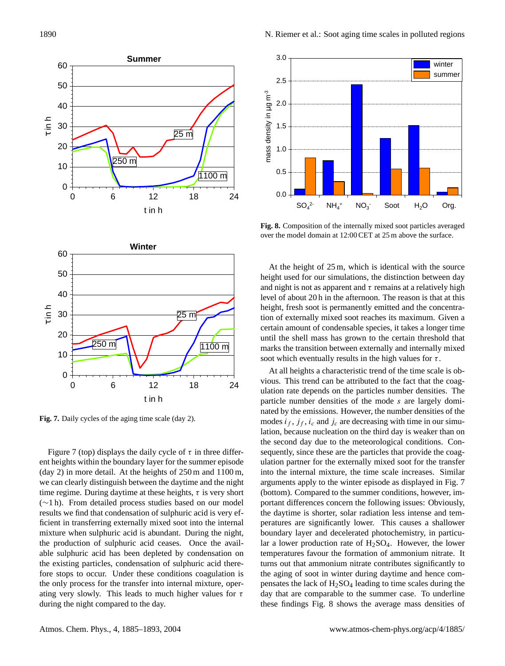



**Fig. 7.** Daily cycles of the aging time scale (day 2).

Figure 7 (top) displays the daily cycle of  $\tau$  in three different heights within the boundary layer for the summer episode (day 2) in more detail. At the heights of 250 m and 1100 m, we can clearly distinguish between the daytime and the night time regime. During daytime at these heights,  $\tau$  is very short (∼1 h). From detailed process studies based on our model results we find that condensation of sulphuric acid is very efficient in transferring externally mixed soot into the internal mixture when sulphuric acid is abundant. During the night, the production of sulphuric acid ceases. Once the available sulphuric acid has been depleted by condensation on the existing particles, condensation of sulphuric acid therefore stops to occur. Under these conditions coagulation is the only process for the transfer into internal mixture, operating very slowly. This leads to much higher values for  $\tau$ during the night compared to the day.



**Fig. 8.** Composition of the internally mixed soot particles averaged over the model domain at 12:00 CET at 25 m above the surface.

At the height of 25 m, which is identical with the source height used for our simulations, the distinction between day and night is not as apparent and  $\tau$  remains at a relatively high level of about 20 h in the afternoon. The reason is that at this height, fresh soot is permanently emitted and the concentration of externally mixed soot reaches its maximum. Given a certain amount of condensable species, it takes a longer time until the shell mass has grown to the certain threshold that marks the transition between externally and internally mixed soot which eventually results in the high values for  $\tau$ .

At all heights a characteristic trend of the time scale is obvious. This trend can be attributed to the fact that the coagulation rate depends on the particles number densities. The particle number densities of the mode s are largely dominated by the emissions. However, the number densities of the modes  $i_f$ ,  $j_f$ ,  $i_c$  and  $j_c$  are decreasing with time in our simulation, because nucleation on the third day is weaker than on the second day due to the meteorological conditions. Consequently, since these are the particles that provide the coagulation partner for the externally mixed soot for the transfer into the internal mixture, the time scale increases. Similar arguments apply to the winter episode as displayed in Fig. 7 (bottom). Compared to the summer conditions, however, important differences concern the following issues: Obviously, the daytime is shorter, solar radiation less intense and temperatures are significantly lower. This causes a shallower boundary layer and decelerated photochemistry, in particular a lower production rate of  $H_2SO_4$ . However, the lower temperatures favour the formation of ammonium nitrate. It turns out that ammonium nitrate contributes significantly to the aging of soot in winter during daytime and hence compensates the lack of  $H_2SO_4$  leading to time scales during the day that are comparable to the summer case. To underline these findings Fig. 8 shows the average mass densities of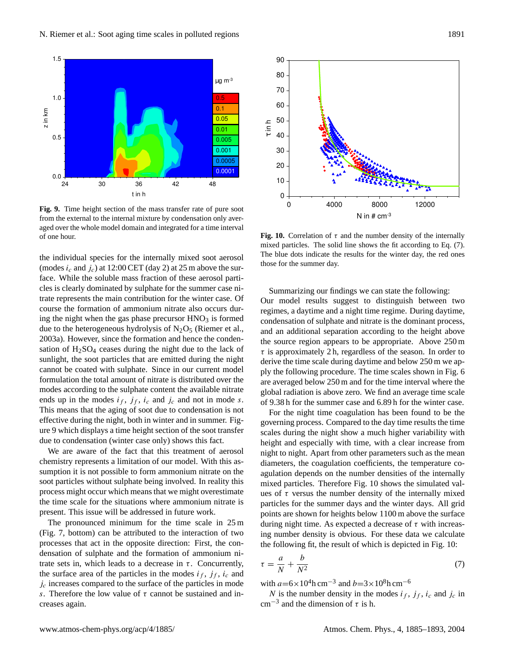

**Fig. 9.** Time height section of the mass transfer rate of pure soot from the external to the internal mixture by condensation only averaged over the whole model domain and integrated for a time interval of one hour.

the individual species for the internally mixed soot aerosol (modes  $i_c$  and  $j_c$ ) at 12:00 CET (day 2) at 25 m above the surface. While the soluble mass fraction of these aerosol particles is clearly dominated by sulphate for the summer case nitrate represents the main contribution for the winter case. Of course the formation of ammonium nitrate also occurs during the night when the gas phase precursor  $HNO<sub>3</sub>$  is formed due to the heterogeneous hydrolysis of  $N_2O_5$  (Riemer et al., 2003a). However, since the formation and hence the condensation of  $H_2SO_4$  ceases during the night due to the lack of sunlight, the soot particles that are emitted during the night cannot be coated with sulphate. Since in our current model formulation the total amount of nitrate is distributed over the modes according to the sulphate content the available nitrate ends up in the modes  $i_f$ ,  $j_f$ ,  $i_c$  and  $j_c$  and not in mode s. This means that the aging of soot due to condensation is not effective during the night, both in winter and in summer. Figure 9 which displays a time height section of the soot transfer due to condensation (winter case only) shows this fact.

We are aware of the fact that this treatment of aerosol chemistry represents a limitation of our model. With this assumption it is not possible to form ammonium nitrate on the soot particles without sulphate being involved. In reality this process might occur which means that we might overestimate the time scale for the situations where ammonium nitrate is present. This issue will be addressed in future work.

The pronounced minimum for the time scale in 25 m (Fig. 7, bottom) can be attributed to the interaction of two processes that act in the opposite direction: First, the condensation of sulphate and the formation of ammonium nitrate sets in, which leads to a decrease in  $\tau$ . Concurrently, the surface area of the particles in the modes  $i_f$ ,  $j_f$ ,  $i_c$  and  $j_c$  increases compared to the surface of the particles in mode s. Therefore the low value of  $\tau$  cannot be sustained and increases again.



**Fig. 10.** Correlation of  $\tau$  and the number density of the internally mixed particles. The solid line shows the fit according to Eq. (7). The blue dots indicate the results for the winter day, the red ones those for the summer day.

Summarizing our findings we can state the following:

Our model results suggest to distinguish between two regimes, a daytime and a night time regime. During daytime, condensation of sulphate and nitrate is the dominant process, and an additional separation according to the height above the source region appears to be appropriate. Above 250 m  $\tau$  is approximately 2 h, regardless of the season. In order to derive the time scale during daytime and below 250 m we apply the following procedure. The time scales shown in Fig. 6 are averaged below 250 m and for the time interval where the global radiation is above zero. We find an average time scale of 9.38 h for the summer case and 6.89 h for the winter case.

For the night time coagulation has been found to be the governing process. Compared to the day time results the time scales during the night show a much higher variability with height and especially with time, with a clear increase from night to night. Apart from other parameters such as the mean diameters, the coagulation coefficients, the temperature coagulation depends on the number densities of the internally mixed particles. Therefore Fig. 10 shows the simulated values of  $\tau$  versus the number density of the internally mixed particles for the summer days and the winter days. All grid points are shown for heights below 1100 m above the surface during night time. As expected a decrease of  $\tau$  with increasing number density is obvious. For these data we calculate the following fit, the result of which is depicted in Fig. 10:

$$
\tau = \frac{a}{N} + \frac{b}{N^2} \tag{7}
$$

with  $a=6\times10^4$ h cm<sup>-3</sup> and  $b=3\times10^8$ h cm<sup>-6</sup>

N is the number density in the modes  $i_f$ ,  $j_f$ ,  $i_c$  and  $j_c$  in cm<sup>-3</sup> and the dimension of  $\tau$  is h.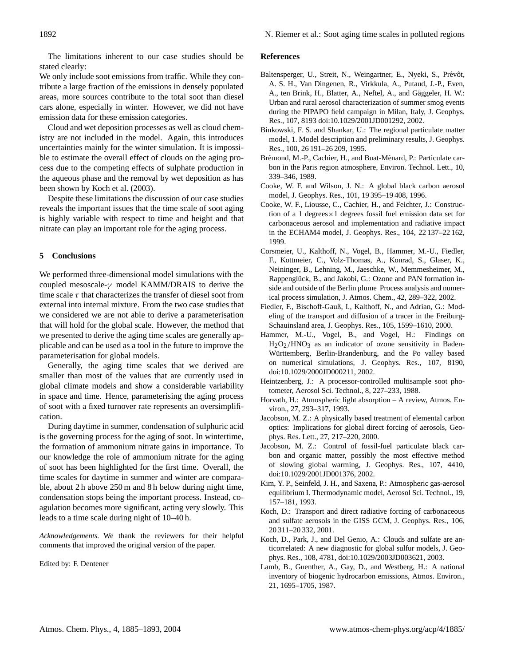The limitations inherent to our case studies should be stated clearly:

We only include soot emissions from traffic. While they contribute a large fraction of the emissions in densely populated areas, more sources contribute to the total soot than diesel cars alone, especially in winter. However, we did not have emission data for these emission categories.

Cloud and wet deposition processes as well as cloud chemistry are not included in the model. Again, this introduces uncertainties mainly for the winter simulation. It is impossible to estimate the overall effect of clouds on the aging process due to the competing effects of sulphate production in the aqueous phase and the removal by wet deposition as has been shown by Koch et al. (2003).

Despite these limitations the discussion of our case studies reveals the important issues that the time scale of soot aging is highly variable with respect to time and height and that nitrate can play an important role for the aging process.

### **5 Conclusions**

We performed three-dimensional model simulations with the coupled mesoscale- $\gamma$  model KAMM/DRAIS to derive the time scale  $\tau$  that characterizes the transfer of diesel soot from external into internal mixture. From the two case studies that we considered we are not able to derive a parameterisation that will hold for the global scale. However, the method that we presented to derive the aging time scales are generally applicable and can be used as a tool in the future to improve the parameterisation for global models.

Generally, the aging time scales that we derived are smaller than most of the values that are currently used in global climate models and show a considerable variability in space and time. Hence, parameterising the aging process of soot with a fixed turnover rate represents an oversimplification.

During daytime in summer, condensation of sulphuric acid is the governing process for the aging of soot. In wintertime, the formation of ammonium nitrate gains in importance. To our knowledge the role of ammonium nitrate for the aging of soot has been highlighted for the first time. Overall, the time scales for daytime in summer and winter are comparable, about 2 h above 250 m and 8 h below during night time, condensation stops being the important process. Instead, coagulation becomes more significant, acting very slowly. This leads to a time scale during night of 10–40 h.

*Acknowledgements.* We thank the reviewers for their helpful comments that improved the original version of the paper.

Edited by: F. Dentener

#### **References**

- Baltensperger, U., Streit, N., Weingartner, E., Nyeki, S., Prévôt, A. S. H., Van Dingenen, R., Virkkula, A., Putaud, J.-P., Even, A., ten Brink, H., Blatter, A., Neftel, A., and Gäggeler, H. W.: Urban and rural aerosol characterization of summer smog events during the PIPAPO field campaign in Milan, Italy, J. Geophys. Res., 107, 8193 doi:10.1029/2001JD001292, 2002.
- Binkowski, F. S. and Shankar, U.: The regional particulate matter model, 1. Model description and preliminary results, J. Geophys. Res., 100, 26 191–26 209, 1995.
- Brémond, M.-P., Cachier, H., and Buat-Ménard, P.: Particulate carbon in the Paris region atmosphere, Environ. Technol. Lett., 10, 339–346, 1989.
- Cooke, W. F. and Wilson, J. N.: A global black carbon aerosol model, J. Geophys. Res., 101, 19 395–19 408, 1996.
- Cooke, W. F., Liousse, C., Cachier, H., and Feichter, J.: Construction of a 1 degrees $\times$ 1 degrees fossil fuel emission data set for carbonaceous aerosol and implementation and radiative impact in the ECHAM4 model, J. Geophys. Res., 104, 22 137–22 162, 1999.
- Corsmeier, U., Kalthoff, N., Vogel, B., Hammer, M.-U., Fiedler, F., Kottmeier, C., Volz-Thomas, A., Konrad, S., Glaser, K., Neininger, B., Lehning, M., Jaeschke, W., Memmesheimer, M., Rappenglück, B., and Jakobi, G.: Ozone and PAN formation inside and outside of the Berlin plume Process analysis and numerical process simulation, J. Atmos. Chem., 42, 289–322, 2002.
- Fiedler, F., Bischoff-Gauß, I., Kalthoff, N., and Adrian, G.: Modeling of the transport and diffusion of a tracer in the Freiburg-Schauinsland area, J. Geophys. Res., 105, 1599–1610, 2000.
- Hammer, M.-U., Vogel, B., and Vogel, H.: Findings on  $H<sub>2</sub>O<sub>2</sub>/HNO<sub>3</sub>$  as an indicator of ozone sensitivity in Baden-Württemberg, Berlin-Brandenburg, and the Po valley based on numerical simulations, J. Geophys. Res., 107, 8190, doi:10.1029/2000JD000211, 2002.
- Heintzenberg, J.: A processor-controlled multisample soot photometer, Aerosol Sci. Technol., 8, 227–233, 1988.
- Horvath, H.: Atmospheric light absorption A review, Atmos. Environ., 27, 293–317, 1993.
- Jacobson, M. Z.: A physically based treatment of elemental carbon optics: Implications for global direct forcing of aerosols, Geophys. Res. Lett., 27, 217–220, 2000.
- Jacobson, M. Z.: Control of fossil-fuel particulate black carbon and organic matter, possibly the most effective method of slowing global warming, J. Geophys. Res., 107, 4410, doi:10.1029/2001JD001376, 2002.
- Kim, Y. P., Seinfeld, J. H., and Saxena, P.: Atmospheric gas-aerosol equilibrium I. Thermodynamic model, Aerosol Sci. Technol., 19, 157–181, 1993.
- Koch, D.: Transport and direct radiative forcing of carbonaceous and sulfate aerosols in the GISS GCM, J. Geophys. Res., 106, 20 311–20 332, 2001.
- Koch, D., Park, J., and Del Genio, A.: Clouds and sulfate are anticorrelated: A new diagnostic for global sulfur models, J. Geophys. Res., 108, 4781, doi:10.1029/2003JD003621, 2003.
- Lamb, B., Guenther, A., Gay, D., and Westberg, H.: A national inventory of biogenic hydrocarbon emissions, Atmos. Environ., 21, 1695–1705, 1987.